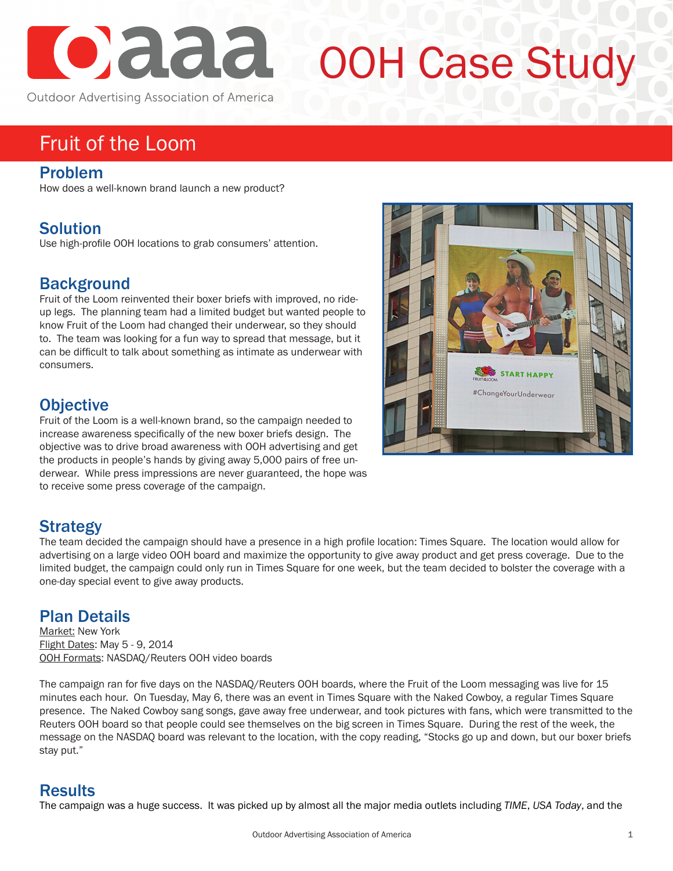

# OOH Case Study

Outdoor Advertising Association of America

# Fruit of the Loom

#### Problem

How does a well-known brand launch a new product?

## Solution

Use high-profile OOH locations to grab consumers' attention.

### **Background**

Fruit of the Loom reinvented their boxer briefs with improved, no rideup legs. The planning team had a limited budget but wanted people to know Fruit of the Loom had changed their underwear, so they should to. The team was looking for a fun way to spread that message, but it can be difficult to talk about something as intimate as underwear with consumers.

#### **Objective**

Fruit of the Loom is a well-known brand, so the campaign needed to increase awareness specifically of the new boxer briefs design. The objective was to drive broad awareness with OOH advertising and get the products in people's hands by giving away 5,000 pairs of free underwear. While press impressions are never guaranteed, the hope was to receive some press coverage of the campaign.

# **Strategy**

The team decided the campaign should have a presence in a high profile location: Times Square. The location would allow for advertising on a large video OOH board and maximize the opportunity to give away product and get press coverage. Due to the limited budget, the campaign could only run in Times Square for one week, but the team decided to bolster the coverage with a one-day special event to give away products.

#### Plan Details

Market: New York Flight Dates: May 5 - 9, 2014 OOH Formats: NASDAQ/Reuters OOH video boards

The campaign ran for five days on the NASDAQ/Reuters OOH boards, where the Fruit of the Loom messaging was live for 15 minutes each hour. On Tuesday, May 6, there was an event in Times Square with the Naked Cowboy, a regular Times Square presence. The Naked Cowboy sang songs, gave away free underwear, and took pictures with fans, which were transmitted to the Reuters OOH board so that people could see themselves on the big screen in Times Square. During the rest of the week, the message on the NASDAQ board was relevant to the location, with the copy reading, "Stocks go up and down, but our boxer briefs stay put."

#### **Results**

The campaign was a huge success. It was picked up by almost all the major media outlets including *TIME*, *USA Today*, and the